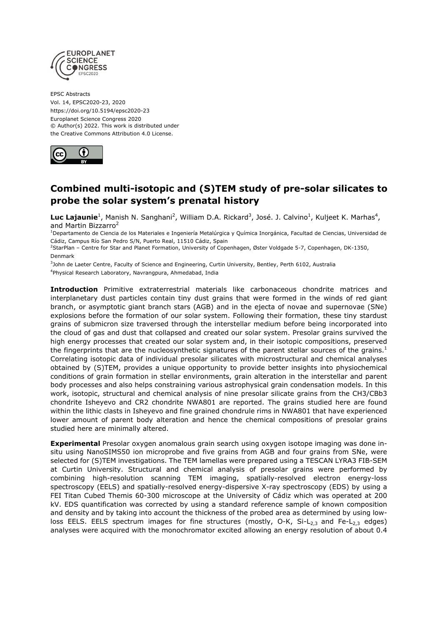

EPSC Abstracts Vol. 14, EPSC2020-23, 2020 https://doi.org/10.5194/epsc2020-23 Europlanet Science Congress 2020 © Author(s) 2022. This work is distributed under the Creative Commons Attribution 4.0 License.



## **Combined multi-isotopic and (S)TEM study of pre-solar silicates to probe the solar system's prenatal history**

**Luc Lajaunie**<sup>1</sup>, Manish N. Sanghani<sup>2</sup>, William D.A. Rickard<sup>3</sup>, José. J. Calvino<sup>1</sup>, Kuljeet K. Marhas<sup>4</sup>, and Martin Bizzarro<sup>2</sup>

<sup>1</sup>Departamento de Ciencia de los Materiales e Ingeniería Metalúrgica y Química Inorgánica, Facultad de Ciencias, Universidad de Cádiz, Campus Río San Pedro S/N, Puerto Real, 11510 Cádiz, Spain

<sup>2</sup>StarPlan – Centre for Star and Planet Formation, University of Copenhagen, Øster Voldgade 5-7, Copenhagen, DK-1350, Denmark

3 John de Laeter Centre, Faculty of Science and Engineering, Curtin University, Bentley, Perth 6102, Australia 4 Physical Research Laboratory, Navrangpura, Ahmedabad, India

**Introduction** Primitive extraterrestrial materials like carbonaceous chondrite matrices and interplanetary dust particles contain tiny dust grains that were formed in the winds of red giant branch, or asymptotic giant branch stars (AGB) and in the ejecta of novae and supernovae (SNe) explosions before the formation of our solar system. Following their formation, these tiny stardust grains of submicron size traversed through the interstellar medium before being incorporated into the cloud of gas and dust that collapsed and created our solar system. Presolar grains survived the high energy processes that created our solar system and, in their isotopic compositions, preserved the fingerprints that are the nucleosynthetic signatures of the parent stellar sources of the grains.<sup>1</sup> Correlating isotopic data of individual presolar silicates with microstructural and chemical analyses obtained by (S)TEM, provides a unique opportunity to provide better insights into physiochemical conditions of grain formation in stellar environments, grain alteration in the interstellar and parent body processes and also helps constraining various astrophysical grain condensation models. In this work, isotopic, structural and chemical analysis of nine presolar silicate grains from the CH3/CBb3 chondrite Isheyevo and CR2 chondrite NWA801 are reported. The grains studied here are found within the lithic clasts in Isheyevo and fine grained chondrule rims in NWA801 that have experienced lower amount of parent body alteration and hence the chemical compositions of presolar grains studied here are minimally altered.

**Experimental** Presolar oxygen anomalous grain search using oxygen isotope imaging was done insitu using NanoSIMS50 ion microprobe and five grains from AGB and four grains from SNe, were selected for (S)TEM investigations. The TEM lamellas were prepared using a TESCAN LYRA3 FIB-SEM at Curtin University. Structural and chemical analysis of presolar grains were performed by combining high-resolution scanning TEM imaging, spatially-resolved electron energy-loss spectroscopy (EELS) and spatially-resolved energy-dispersive X-ray spectroscopy (EDS) by using a FEI Titan Cubed Themis 60-300 microscope at the University of Cádiz which was operated at 200 kV. EDS quantification was corrected by using a standard reference sample of known composition and density and by taking into account the thickness of the probed area as determined by using lowloss EELS. EELS spectrum images for fine structures (mostly, O-K, Si-L<sub>2,3</sub> and Fe-L<sub>2,3</sub> edges) analyses were acquired with the monochromator excited allowing an energy resolution of about 0.4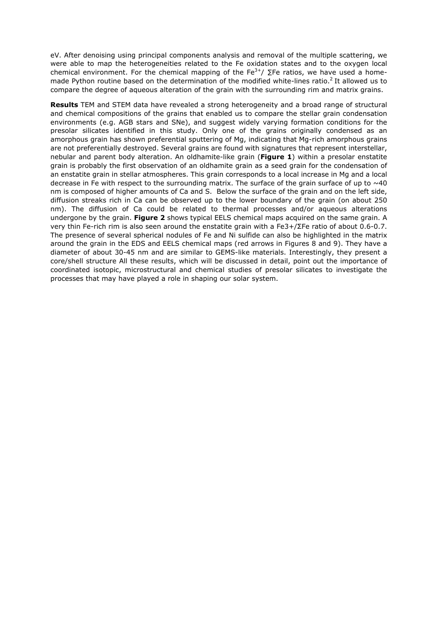eV. After denoising using principal components analysis and removal of the multiple scattering, we were able to map the heterogeneities related to the Fe oxidation states and to the oxygen local chemical environment. For the chemical mapping of the Fe<sup>3+</sup>/  $\Sigma$ Fe ratios, we have used a homemade Python routine based on the determination of the modified white-lines ratio.<sup>2</sup> It allowed us to compare the degree of aqueous alteration of the grain with the surrounding rim and matrix grains.

**Results** TEM and STEM data have revealed a strong heterogeneity and a broad range of structural and chemical compositions of the grains that enabled us to compare the stellar grain condensation environments (e.g. AGB stars and SNe), and suggest widely varying formation conditions for the presolar silicates identified in this study. Only one of the grains originally condensed as an amorphous grain has shown preferential sputtering of Mg, indicating that Mg-rich amorphous grains are not preferentially destroyed. Several grains are found with signatures that represent interstellar, nebular and parent body alteration. An oldhamite-like grain (**Figure 1**) within a presolar enstatite grain is probably the first observation of an oldhamite grain as a seed grain for the condensation of an enstatite grain in stellar atmospheres. This grain corresponds to a local increase in Mg and a local decrease in Fe with respect to the surrounding matrix. The surface of the grain surface of up to  $\sim$ 40 nm is composed of higher amounts of Ca and S. Below the surface of the grain and on the left side, diffusion streaks rich in Ca can be observed up to the lower boundary of the grain (on about 250 nm). The diffusion of Ca could be related to thermal processes and/or aqueous alterations undergone by the grain. **Figure 2** shows typical EELS chemical maps acquired on the same grain. A very thin Fe-rich rim is also seen around the enstatite grain with a Fe3+/ΣFe ratio of about 0.6-0.7. The presence of several spherical nodules of Fe and Ni sulfide can also be highlighted in the matrix around the grain in the EDS and EELS chemical maps (red arrows in Figures 8 and 9). They have a diameter of about 30-45 nm and are similar to GEMS-like materials. Interestingly, they present a core/shell structure All these results, which will be discussed in detail, point out the importance of coordinated isotopic, microstructural and chemical studies of presolar silicates to investigate the processes that may have played a role in shaping our solar system.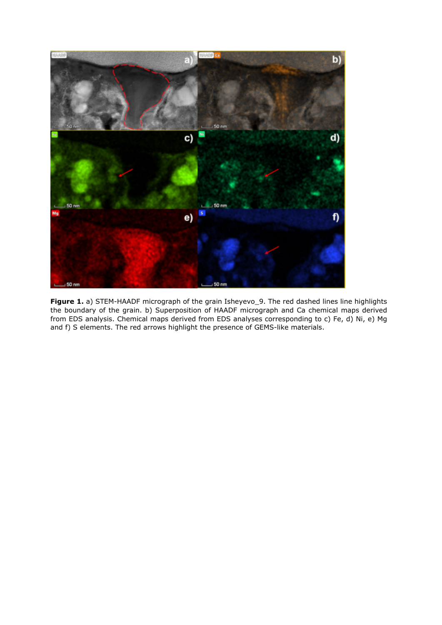

**Figure 1.** a) STEM-HAADF micrograph of the grain Isheyevo\_9. The red dashed lines line highlights the boundary of the grain. b) Superposition of HAADF micrograph and Ca chemical maps derived from EDS analysis. Chemical maps derived from EDS analyses corresponding to c) Fe, d) Ni, e) Mg and f) S elements. The red arrows highlight the presence of GEMS-like materials.